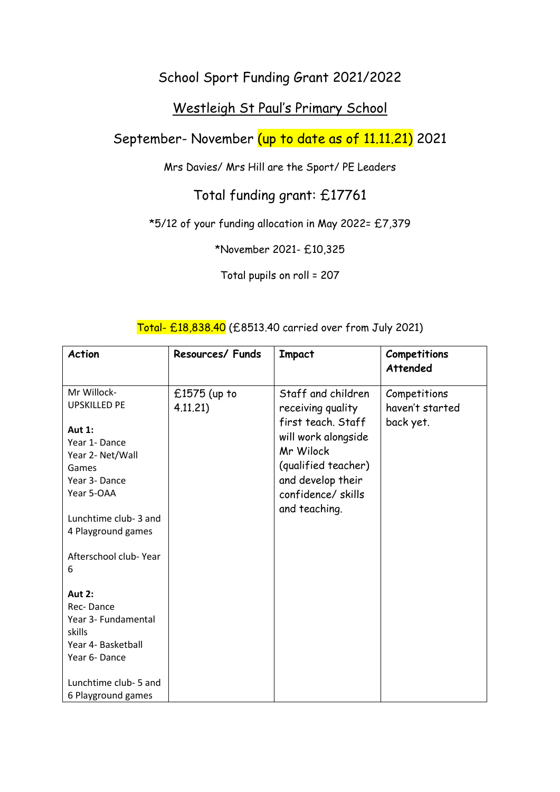## School Sport Funding Grant 2021/2022

## Westleigh St Paul's Primary School

September- November (up to date as of 11.11.21) 2021

Mrs Davies/ Mrs Hill are the Sport/ PE Leaders

# Total funding grant: £17761

### \*5/12 of your funding allocation in May 2022= £7,379

\*November 2021- £10,325

Total pupils on roll = 207

| <b>Action</b>                                                                                                                                                                                                | Resources/ Funds           | <b>Impact</b>                                                                                                                                                                       | Competitions<br><b>Attended</b>              |
|--------------------------------------------------------------------------------------------------------------------------------------------------------------------------------------------------------------|----------------------------|-------------------------------------------------------------------------------------------------------------------------------------------------------------------------------------|----------------------------------------------|
| Mr Willock-<br><b>UPSKILLED PE</b><br><b>Aut 1:</b><br>Year 1- Dance<br>Year 2- Net/Wall<br>Games<br>Year 3- Dance<br>Year 5-OAA<br>Lunchtime club-3 and<br>4 Playground games<br>Afterschool club-Year<br>6 | $£1575$ (up to<br>4.11.21) | Staff and children<br>receiving quality<br>first teach. Staff<br>will work alongside<br>Mr Wilock<br>(qualified teacher)<br>and develop their<br>confidence/skills<br>and teaching. | Competitions<br>haven't started<br>back yet. |
| <b>Aut 2:</b><br>Rec-Dance<br>Year 3- Fundamental<br>skills<br>Year 4- Basketball<br>Year 6-Dance<br>Lunchtime club- 5 and<br>6 Playground games                                                             |                            |                                                                                                                                                                                     |                                              |

#### Total- £18,838.40 (£8513.40 carried over from July 2021)